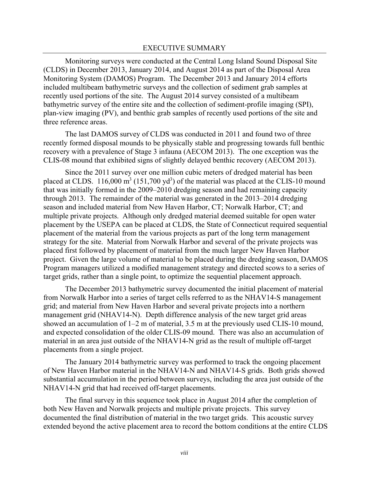Monitoring surveys were conducted at the Central Long Island Sound Disposal Site (CLDS) in December 2013, January 2014, and August 2014 as part of the Disposal Area Monitoring System (DAMOS) Program. The December 2013 and January 2014 efforts included multibeam bathymetric surveys and the collection of sediment grab samples at recently used portions of the site. The August 2014 survey consisted of a multibeam bathymetric survey of the entire site and the collection of sediment-profile imaging (SPI), plan-view imaging (PV), and benthic grab samples of recently used portions of the site and three reference areas.

The last DAMOS survey of CLDS was conducted in 2011 and found two of three recently formed disposal mounds to be physically stable and progressing towards full benthic recovery with a prevalence of Stage 3 infauna (AECOM 2013). The one exception was the CLIS-08 mound that exhibited signs of slightly delayed benthic recovery (AECOM 2013).

Since the 2011 survey over one million cubic meters of dredged material has been placed at CLDS.  $116,000 \text{ m}^3$  (151,700 yd<sup>3</sup>) of the material was placed at the CLIS-10 mound that was initially formed in the 2009–2010 dredging season and had remaining capacity through 2013. The remainder of the material was generated in the 2013–2014 dredging season and included material from New Haven Harbor, CT; Norwalk Harbor, CT; and multiple private projects. Although only dredged material deemed suitable for open water placement by the USEPA can be placed at CLDS, the State of Connecticut required sequential placement of the material from the various projects as part of the long term management strategy for the site. Material from Norwalk Harbor and several of the private projects was placed first followed by placement of material from the much larger New Haven Harbor project. Given the large volume of material to be placed during the dredging season, DAMOS Program managers utilized a modified management strategy and directed scows to a series of target grids, rather than a single point, to optimize the sequential placement approach.

The December 2013 bathymetric survey documented the initial placement of material from Norwalk Harbor into a series of target cells referred to as the NHAV14-S management grid; and material from New Haven Harbor and several private projects into a northern management grid (NHAV14-N). Depth difference analysis of the new target grid areas showed an accumulation of 1–2 m of material, 3.5 m at the previously used CLIS-10 mound, and expected consolidation of the older CLIS-09 mound. There was also an accumulation of material in an area just outside of the NHAV14-N grid as the result of multiple off-target placements from a single project.

The January 2014 bathymetric survey was performed to track the ongoing placement of New Haven Harbor material in the NHAV14-N and NHAV14-S grids. Both grids showed substantial accumulation in the period between surveys, including the area just outside of the NHAV14-N grid that had received off-target placements.

The final survey in this sequence took place in August 2014 after the completion of both New Haven and Norwalk projects and multiple private projects. This survey documented the final distribution of material in the two target grids. This acoustic survey extended beyond the active placement area to record the bottom conditions at the entire CLDS